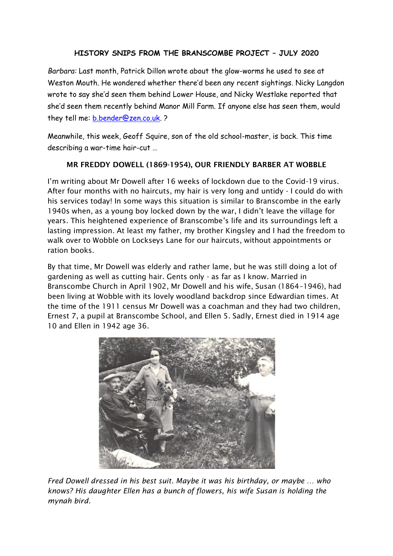## **HISTORY SNIPS FROM THE BRANSCOMBE PROJECT – JULY 2020**

*Barbara:* Last month, Patrick Dillon wrote about the glow-worms he used to see at Weston Mouth. He wondered whether there'd been any recent sightings. Nicky Langdon wrote to say she'd seen them behind Lower House, and Nicky Westlake reported that she'd seen them recently behind Manor Mill Farm. If anyone else has seen them, would they tell me: [b.bender@zen.co.uk.](mailto:b.bender@zen.co.uk) ?

Meanwhile, this week, Geoff Squire, son of the old school-master, is back. This time describing a war-time hair-cut …

## MR FREDDY DOWELL (1869-1954), OUR FRIENDLY BARBER AT WOBBLE

I'm writing about Mr Dowell after 16 weeks of lockdown due to the Covid-19 virus. After four months with no haircuts, my hair is very long and untidy - I could do with his services today! In some ways this situation is similar to Branscombe in the early 1940s when, as a young boy locked down by the war, I didn't leave the village for years. This heightened experience of Branscombe's life and its surroundings left a lasting impression. At least my father, my brother Kingsley and I had the freedom to walk over to Wobble on Lockseys Lane for our haircuts, without appointments or ration books.

By that time, Mr Dowell was elderly and rather lame, but he was still doing a lot of gardening as well as cutting hair. Gents only - as far as I know. Married in Branscombe Church in April 1902, Mr Dowell and his wife, Susan (1864–1946), had been living at Wobble with its lovely woodland backdrop since Edwardian times. At the time of the 1911 census Mr Dowell was a coachman and they had two children, Ernest 7, a pupil at Branscombe School, and Ellen 5. Sadly, Ernest died in 1914 age 10 and Ellen in 1942 age 36.



*Fred Dowell dressed in his best suit. Maybe it was his birthday, or maybe … who knows? His daughter Ellen has a bunch of flowers, his wife Susan is holding the mynah bird.*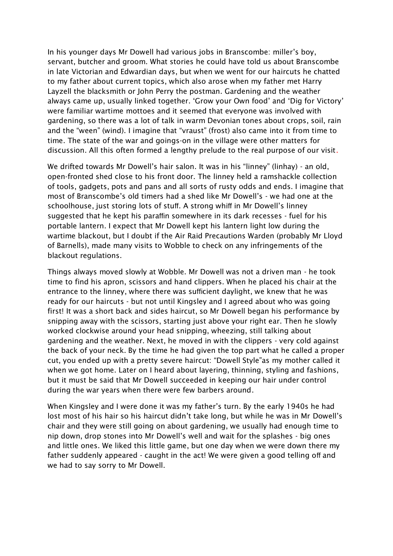In his younger days Mr Dowell had various jobs in Branscombe: miller's boy, servant, butcher and groom. What stories he could have told us about Branscombe in late Victorian and Edwardian days, but when we went for our haircuts he chatted to my father about current topics, which also arose when my father met Harry Layzell the blacksmith or John Perry the postman. Gardening and the weather always came up, usually linked together. 'Grow your Own food' and 'Dig for Victory' were familiar wartime mottoes and it seemed that everyone was involved with gardening, so there was a lot of talk in warm Devonian tones about crops, soil, rain and the "ween" (wind). I imagine that "vraust" (frost) also came into it from time to time. The state of the war and goings-on in the village were other matters for discussion. All this often formed a lengthy prelude to the real purpose of our visit.

We drifted towards Mr Dowell's hair salon. It was in his "linney" (linhay) - an old, open-fronted shed close to his front door. The linney held a ramshackle collection of tools, gadgets, pots and pans and all sorts of rusty odds and ends. I imagine that most of Branscombe's old timers had a shed like Mr Dowell's - we had one at the schoolhouse, just storing lots of stuff. A strong whiff in Mr Dowell's linney suggested that he kept his paraffin somewhere in its dark recesses - fuel for his portable lantern. I expect that Mr Dowell kept his lantern light low during the wartime blackout, but I doubt if the Air Raid Precautions Warden (probably Mr Lloyd of Barnells), made many visits to Wobble to check on any infringements of the blackout regulations.

Things always moved slowly at Wobble. Mr Dowell was not a driven man - he took time to find his apron, scissors and hand clippers. When he placed his chair at the entrance to the linney, where there was sufficient daylight, we knew that he was ready for our haircuts - but not until Kingsley and I agreed about who was going first! It was a short back and sides haircut, so Mr Dowell began his performance by snipping away with the scissors, starting just above your right ear. Then he slowly worked clockwise around your head snipping, wheezing, still talking about gardening and the weather. Next, he moved in with the clippers - very cold against the back of your neck. By the time he had given the top part what he called a proper cut, you ended up with a pretty severe haircut: "Dowell Style"as my mother called it when we got home. Later on I heard about layering, thinning, styling and fashions, but it must be said that Mr Dowell succeeded in keeping our hair under control during the war years when there were few barbers around.

When Kingsley and I were done it was my father's turn. By the early 1940s he had lost most of his hair so his haircut didn't take long, but while he was in Mr Dowell's chair and they were still going on about gardening, we usually had enough time to nip down, drop stones into Mr Dowell's well and wait for the splashes - big ones and little ones. We liked this little game, but one day when we were down there my father suddenly appeared - caught in the act! We were given a good telling off and we had to say sorry to Mr Dowell.